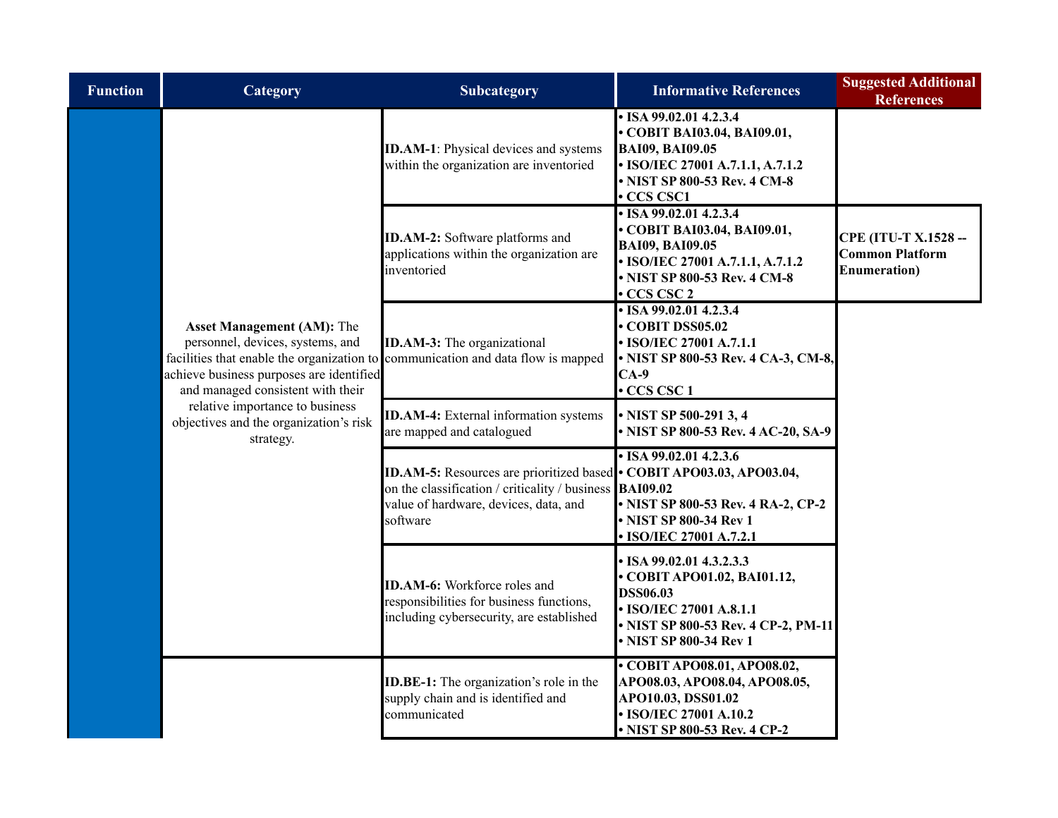| <b>Function</b> | Category                                                                                                                                                                                             | Subcategory                                                                                                                                                                                 | <b>Informative References</b>                                                                                                                                        | <b>Suggested Additional</b><br><b>References</b>                              |
|-----------------|------------------------------------------------------------------------------------------------------------------------------------------------------------------------------------------------------|---------------------------------------------------------------------------------------------------------------------------------------------------------------------------------------------|----------------------------------------------------------------------------------------------------------------------------------------------------------------------|-------------------------------------------------------------------------------|
|                 |                                                                                                                                                                                                      | <b>ID.AM-1:</b> Physical devices and systems<br>within the organization are inventoried                                                                                                     | • ISA 99.02.01 4.2.3.4<br>• COBIT BAI03.04, BAI09.01,<br><b>BAI09, BAI09.05</b><br>• ISO/IEC 27001 A.7.1.1, A.7.1.2<br>NIST SP 800-53 Rev. 4 CM-8<br>CCS CSC1        |                                                                               |
|                 |                                                                                                                                                                                                      | <b>ID.AM-2:</b> Software platforms and<br>applications within the organization are<br>inventoried                                                                                           | $\cdot$ ISA 99.02.01 4.2.3.4<br>COBIT BAI03.04, BAI09.01,<br><b>BAI09, BAI09.05</b><br>• ISO/IEC 27001 A.7.1.1, A.7.1.2<br>• NIST SP 800-53 Rev. 4 CM-8<br>CCS CSC 2 | <b>CPE (ITU-T X.1528 --</b><br><b>Common Platform</b><br><b>Enumeration</b> ) |
|                 | <b>Asset Management (AM): The</b><br>personnel, devices, systems, and<br>facilities that enable the organization to<br>achieve business purposes are identified<br>and managed consistent with their | <b>ID.AM-3:</b> The organizational<br>communication and data flow is mapped                                                                                                                 | $\cdot$ ISA 99.02.01 4.2.3.4<br><b>COBIT DSS05.02</b><br>• ISO/IEC 27001 A.7.1.1<br>• NIST SP 800-53 Rev. 4 CA-3, CM-8,<br>$CA-9$<br>· CCS CSC 1                     |                                                                               |
|                 | relative importance to business<br>objectives and the organization's risk<br>strategy.                                                                                                               | <b>ID.AM-4:</b> External information systems<br>are mapped and catalogued                                                                                                                   | NIST SP 500-291 3, 4<br>NIST SP 800-53 Rev. 4 AC-20, SA-9                                                                                                            |                                                                               |
|                 |                                                                                                                                                                                                      | ID.AM-5: Resources are prioritized based • COBIT APO03.03, APO03.04,<br>on the classification / criticality / business <b>BAI09.02</b><br>value of hardware, devices, data, and<br>software | $\cdot$ ISA 99.02.01 4.2.3.6<br>• NIST SP 800-53 Rev. 4 RA-2, CP-2<br>NIST SP 800-34 Rev 1<br><b>ISO/IEC 27001 A.7.2.1</b>                                           |                                                                               |
|                 |                                                                                                                                                                                                      | <b>ID.AM-6:</b> Workforce roles and<br>responsibilities for business functions,<br>including cybersecurity, are established                                                                 | ISA 99.02.01 4.3.2.3.3<br>COBIT APO01.02, BAI01.12,<br><b>DSS06.03</b><br>• ISO/IEC 27001 A.8.1.1<br>NIST SP 800-53 Rev. 4 CP-2, PM-11<br>NIST SP 800-34 Rev 1       |                                                                               |
|                 |                                                                                                                                                                                                      | <b>ID.BE-1:</b> The organization's role in the<br>supply chain and is identified and<br>communicated                                                                                        | • COBIT APO08.01, APO08.02,<br>APO08.03, APO08.04, APO08.05,<br>APO10.03, DSS01.02<br>• ISO/IEC 27001 A.10.2<br>• NIST SP 800-53 Rev. 4 CP-2                         |                                                                               |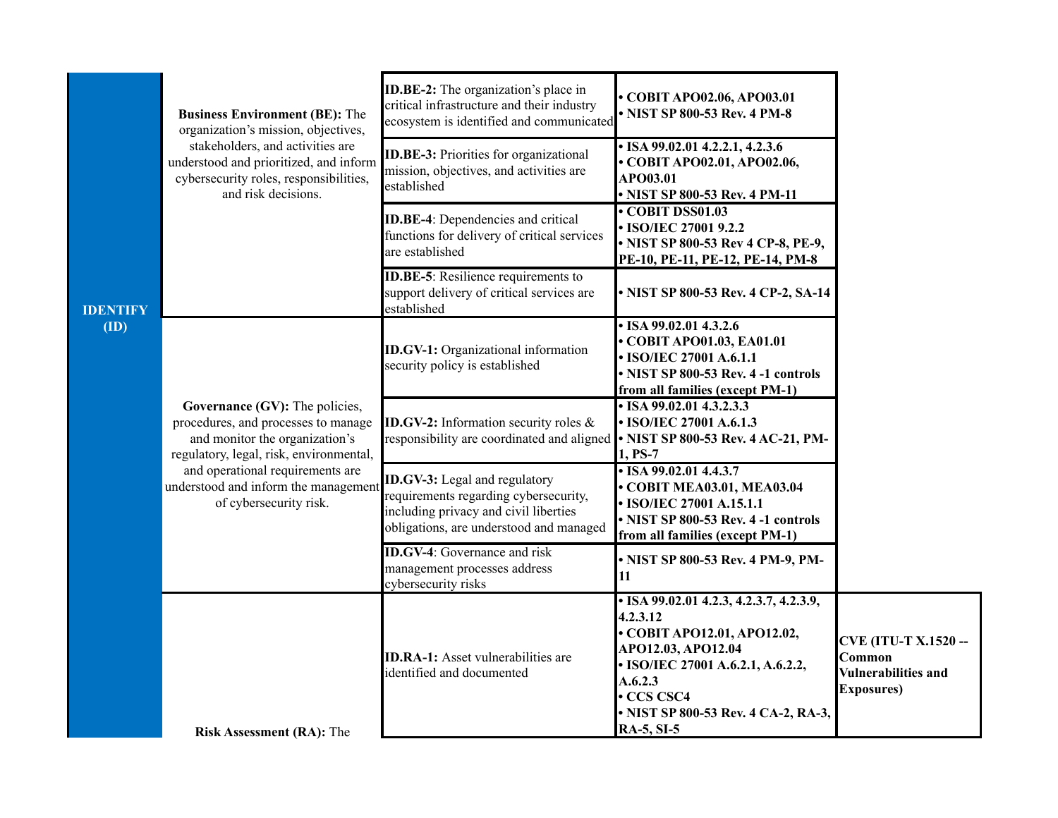|                 | <b>Business Environment (BE): The</b><br>organization's mission, objectives,<br>stakeholders, and activities are<br>understood and prioritized, and inform<br>cybersecurity roles, responsibilities,<br>and risk decisions.                              | ID.BE-2: The organization's place in<br>critical infrastructure and their industry<br>ecosystem is identified and communicated                             | • COBIT APO02.06, APO03.01<br>• NIST SP 800-53 Rev. 4 PM-8                                                                                                                                                                  |                                                                                           |
|-----------------|----------------------------------------------------------------------------------------------------------------------------------------------------------------------------------------------------------------------------------------------------------|------------------------------------------------------------------------------------------------------------------------------------------------------------|-----------------------------------------------------------------------------------------------------------------------------------------------------------------------------------------------------------------------------|-------------------------------------------------------------------------------------------|
|                 |                                                                                                                                                                                                                                                          | <b>ID.BE-3:</b> Priorities for organizational<br>mission, objectives, and activities are<br>established                                                    | $\cdot$ ISA 99.02.01 4.2.2.1, 4.2.3.6<br>• COBIT APO02.01, APO02.06,<br>APO03.01<br>• NIST SP 800-53 Rev. 4 PM-11                                                                                                           |                                                                                           |
|                 |                                                                                                                                                                                                                                                          | <b>ID.BE-4:</b> Dependencies and critical<br>functions for delivery of critical services<br>are established                                                | COBIT DSS01.03<br>• ISO/IEC 27001 9.2.2<br>• NIST SP 800-53 Rev 4 CP-8, PE-9,<br>PE-10, PE-11, PE-12, PE-14, PM-8                                                                                                           |                                                                                           |
| <b>IDENTIFY</b> |                                                                                                                                                                                                                                                          | <b>ID.BE-5</b> : Resilience requirements to<br>support delivery of critical services are<br>established                                                    | • NIST SP 800-53 Rev. 4 CP-2, SA-14                                                                                                                                                                                         |                                                                                           |
| (ID)            |                                                                                                                                                                                                                                                          | <b>ID.GV-1:</b> Organizational information<br>security policy is established                                                                               | $\cdot$ ISA 99.02.01 4.3.2.6<br>• COBIT APO01.03, EA01.01<br>• ISO/IEC 27001 A.6.1.1<br>• NIST SP 800-53 Rev. 4 -1 controls<br>from all families (except PM-1)                                                              |                                                                                           |
|                 | Governance (GV): The policies,<br>procedures, and processes to manage<br>and monitor the organization's<br>regulatory, legal, risk, environmental,<br>and operational requirements are<br>understood and inform the management<br>of cybersecurity risk. | <b>ID.GV-2:</b> Information security roles $\&$<br>responsibility are coordinated and aligned • NIST SP 800-53 Rev. 4 AC-21, PM-                           | $\cdot$ ISA 99.02.01 4.3.2.3.3<br>• ISO/IEC 27001 A.6.1.3<br>1, PS-7                                                                                                                                                        |                                                                                           |
|                 |                                                                                                                                                                                                                                                          | ID.GV-3: Legal and regulatory<br>requirements regarding cybersecurity,<br>including privacy and civil liberties<br>obligations, are understood and managed | $\cdot$ ISA 99.02.01 4.4.3.7<br>• COBIT MEA03.01, MEA03.04<br>• ISO/IEC 27001 A.15.1.1<br>• NIST SP 800-53 Rev. 4 -1 controls<br>from all families (except PM-1)                                                            |                                                                                           |
|                 |                                                                                                                                                                                                                                                          | <b>ID.GV-4:</b> Governance and risk<br>management processes address<br>cybersecurity risks                                                                 | • NIST SP 800-53 Rev. 4 PM-9, PM-<br>11                                                                                                                                                                                     |                                                                                           |
|                 | <b>Risk Assessment (RA): The</b>                                                                                                                                                                                                                         | <b>ID.RA-1:</b> Asset vulnerabilities are<br>identified and documented                                                                                     | • ISA 99.02.01 4.2.3, 4.2.3.7, 4.2.3.9,<br>4.2.3.12<br>• COBIT APO12.01, APO12.02,<br>APO12.03, APO12.04<br>• ISO/IEC 27001 A.6.2.1, A.6.2.2,<br>A.6.2.3<br>• CCS CSC4<br>• NIST SP 800-53 Rev. 4 CA-2, RA-3,<br>RA-5, SI-5 | <b>CVE (ITU-T X.1520 --</b><br>Common<br><b>Vulnerabilities and</b><br><b>Exposures</b> ) |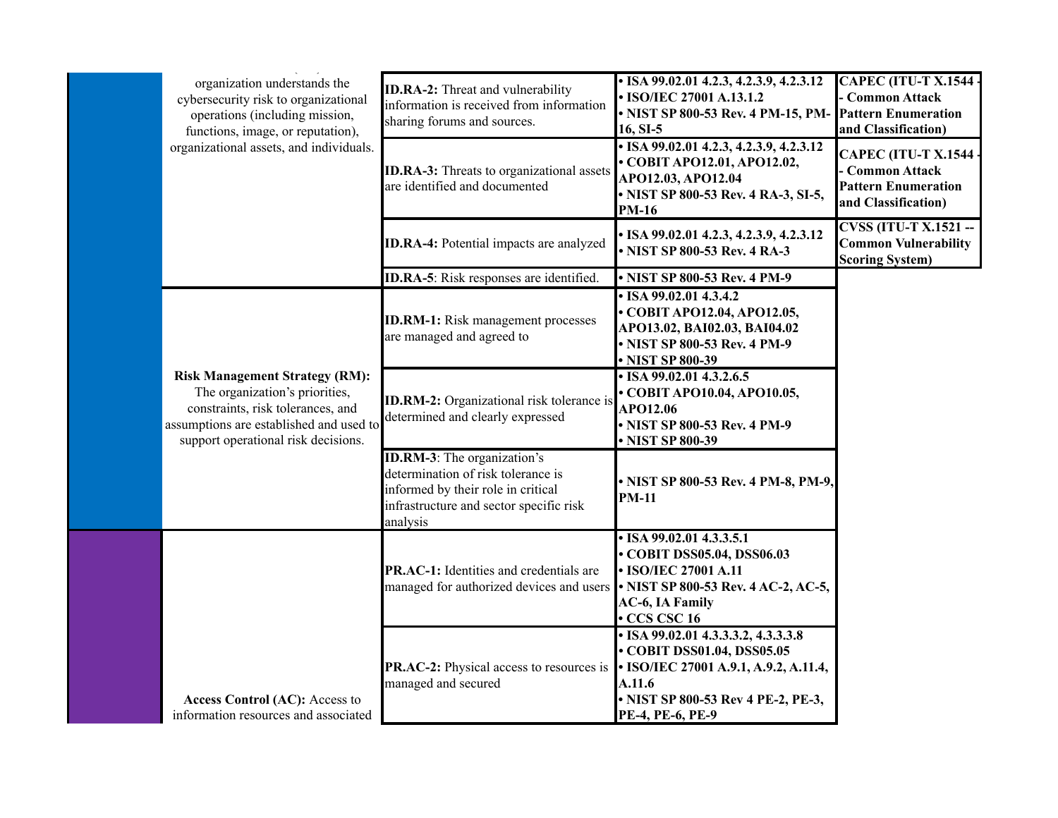| organization understands the<br>cybersecurity risk to organizational<br>operations (including mission,<br>functions, image, or reputation),                                                    | <b>ID.RA-2:</b> Threat and vulnerability<br>information is received from information<br>sharing forums and sources.                                                    | • ISA 99.02.01 4.2.3, 4.2.3.9, 4.2.3.12<br>• ISO/IEC 27001 A.13.1.2<br>• NIST SP 800-53 Rev. 4 PM-15, PM-<br>16, SI-5                                                                | <b>CAPEC (ITU-T X.1544 ·</b><br>- Common Attack<br><b>Pattern Enumeration</b><br>and Classification) |
|------------------------------------------------------------------------------------------------------------------------------------------------------------------------------------------------|------------------------------------------------------------------------------------------------------------------------------------------------------------------------|--------------------------------------------------------------------------------------------------------------------------------------------------------------------------------------|------------------------------------------------------------------------------------------------------|
| organizational assets, and individuals.                                                                                                                                                        | <b>ID.RA-3:</b> Threats to organizational assets<br>are identified and documented                                                                                      | • ISA 99.02.01 4.2.3, 4.2.3.9, 4.2.3.12<br>• COBIT APO12.01, APO12.02,<br>APO12.03, APO12.04<br>• NIST SP 800-53 Rev. 4 RA-3, SI-5,<br><b>PM-16</b>                                  | <b>CAPEC (ITU-T X.1544</b><br>- Common Attack<br><b>Pattern Enumeration</b><br>and Classification)   |
|                                                                                                                                                                                                | ID.RA-4: Potential impacts are analyzed                                                                                                                                | • ISA 99.02.01 4.2.3, 4.2.3.9, 4.2.3.12<br>• NIST SP 800-53 Rev. 4 RA-3                                                                                                              | <b>CVSS (ITU-T X.1521 --</b><br><b>Common Vulnerability</b><br><b>Scoring System)</b>                |
|                                                                                                                                                                                                | <b>ID.RA-5</b> : Risk responses are identified.                                                                                                                        | • NIST SP 800-53 Rev. 4 PM-9                                                                                                                                                         |                                                                                                      |
|                                                                                                                                                                                                | <b>ID.RM-1:</b> Risk management processes<br>are managed and agreed to                                                                                                 | $\cdot$ ISA 99.02.01 4.3.4.2<br>• COBIT APO12.04, APO12.05,<br>APO13.02, BAI02.03, BAI04.02<br>• NIST SP 800-53 Rev. 4 PM-9<br>• NIST SP 800-39                                      |                                                                                                      |
| <b>Risk Management Strategy (RM):</b><br>The organization's priorities,<br>constraints, risk tolerances, and<br>assumptions are established and used to<br>support operational risk decisions. | <b>ID.RM-2:</b> Organizational risk tolerance is<br>determined and clearly expressed                                                                                   | $\cdot$ ISA 99.02.01 4.3.2.6.5<br>• COBIT APO10.04, APO10.05,<br>APO12.06<br>• NIST SP 800-53 Rev. 4 PM-9<br>• NIST SP 800-39                                                        |                                                                                                      |
|                                                                                                                                                                                                | <b>ID.RM-3</b> : The organization's<br>determination of risk tolerance is<br>informed by their role in critical<br>infrastructure and sector specific risk<br>analysis | • NIST SP 800-53 Rev. 4 PM-8, PM-9,<br><b>PM-11</b>                                                                                                                                  |                                                                                                      |
|                                                                                                                                                                                                | <b>PR.AC-1:</b> Identities and credentials are<br>managed for authorized devices and users • NIST SP 800-53 Rev. 4 AC-2, AC-5,                                         | $\cdot$ ISA 99.02.01 4.3.3.5.1<br>• COBIT DSS05.04, DSS06.03<br>• ISO/IEC 27001 A.11<br>AC-6, IA Family<br>CCS CSC 16                                                                |                                                                                                      |
| <b>Access Control (AC): Access to</b><br>information resources and associated                                                                                                                  | <b>PR.AC-2:</b> Physical access to resources is<br>managed and secured                                                                                                 | $\cdot$ ISA 99.02.01 4.3.3.3.2, 4.3.3.3.8<br>• COBIT DSS01.04, DSS05.05<br>• ISO/IEC 27001 A.9.1, A.9.2, A.11.4,<br>A.11.6<br>• NIST SP 800-53 Rev 4 PE-2, PE-3,<br>PE-4, PE-6, PE-9 |                                                                                                      |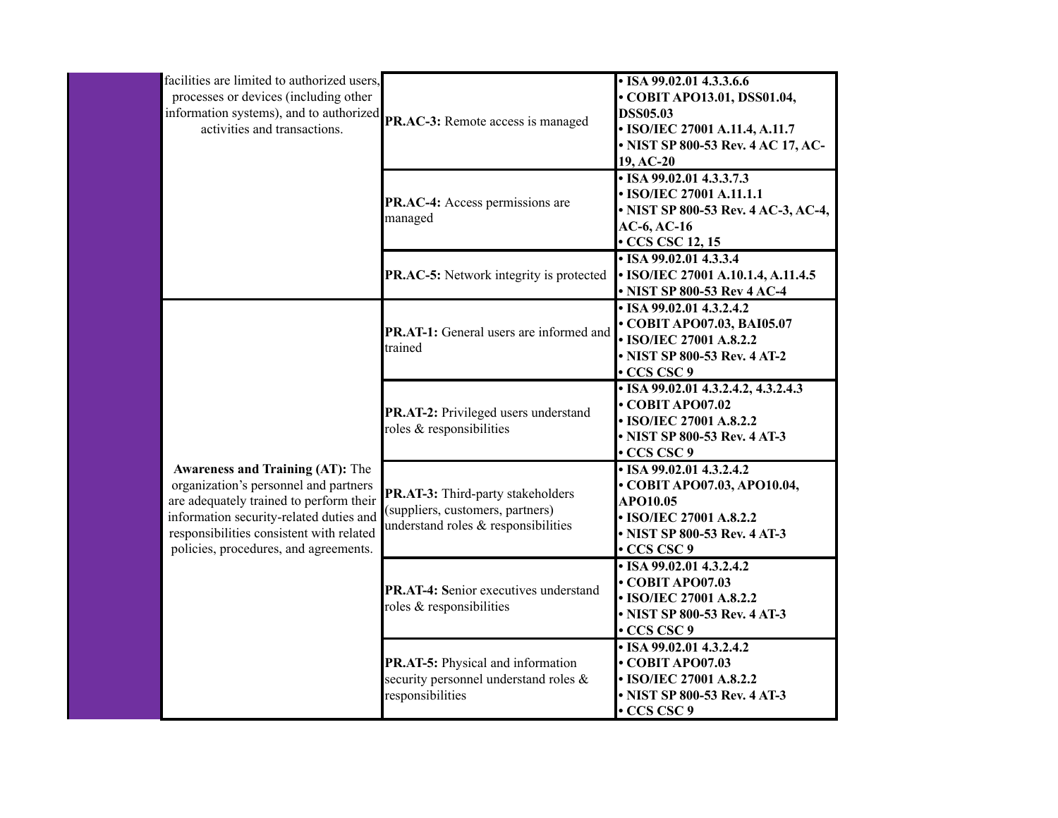| facilities are limited to authorized users,<br>processes or devices (including other<br>information systems), and to authorized<br><b>PR.AC-3:</b> Remote access is managed                                                                                 |                                                                                                              | • ISA 99.02.01 4.3.3.6.6<br>• COBIT APO13.01, DSS01.04,<br><b>DSS05.03</b><br>• ISO/IEC 27001 A.11.4, A.11.7<br>• NIST SP 800-53 Rev. 4 AC 17, AC-<br>19, AC-20 |
|-------------------------------------------------------------------------------------------------------------------------------------------------------------------------------------------------------------------------------------------------------------|--------------------------------------------------------------------------------------------------------------|-----------------------------------------------------------------------------------------------------------------------------------------------------------------|
|                                                                                                                                                                                                                                                             | PR.AC-4: Access permissions are<br>managed                                                                   | $\cdot$ ISA 99.02.01 4.3.3.7.3<br>• ISO/IEC 27001 A.11.1.1<br>• NIST SP 800-53 Rev. 4 AC-3, AC-4,<br>$AC-6$ , $AC-16$<br>$\cdot$ CCS CSC 12, 15                 |
|                                                                                                                                                                                                                                                             | PR.AC-5: Network integrity is protected                                                                      | $\cdot$ ISA 99.02.01 4.3.3.4<br>• ISO/IEC 27001 A.10.1.4, A.11.4.5<br>• NIST SP 800-53 Rev 4 AC-4                                                               |
|                                                                                                                                                                                                                                                             | PR.AT-1: General users are informed and<br>trained                                                           | $\cdot$ ISA 99.02.01 4.3.2.4.2<br>• COBIT APO07.03, BAI05.07<br>• ISO/IEC 27001 A.8.2.2<br>• NIST SP 800-53 Rev. 4 AT-2<br>CCS CSC 9                            |
|                                                                                                                                                                                                                                                             | PR.AT-2: Privileged users understand<br>roles & responsibilities                                             | $\cdot$ ISA 99.02.01 4.3.2.4.2, 4.3.2.4.3<br>$\cdot$ COBIT APO07.02<br>• ISO/IEC 27001 A.8.2.2<br>• NIST SP 800-53 Rev. 4 AT-3<br>$\cdot$ CCS CSC 9             |
| <b>Awareness and Training (AT): The</b><br>organization's personnel and partners<br>are adequately trained to perform their<br>information security-related duties and<br>responsibilities consistent with related<br>policies, procedures, and agreements. | PR.AT-3: Third-party stakeholders<br>(suppliers, customers, partners)<br>understand roles & responsibilities | $\cdot$ ISA 99.02.01 4.3.2.4.2<br>• COBIT APO07.03, APO10.04,<br>APO10.05<br>• ISO/IEC 27001 A.8.2.2<br>• NIST SP 800-53 Rev. 4 AT-3<br>• CCS CSC 9             |
|                                                                                                                                                                                                                                                             | PR.AT-4: Senior executives understand<br>roles & responsibilities                                            | $\cdot$ ISA 99.02.01 4.3.2.4.2<br>$\cdot$ COBIT APO07.03<br>• ISO/IEC 27001 A.8.2.2<br>• NIST SP 800-53 Rev. 4 AT-3<br>• CCS CSC 9                              |
|                                                                                                                                                                                                                                                             | PR.AT-5: Physical and information<br>security personnel understand roles &<br>responsibilities               | $\cdot$ ISA 99.02.01 4.3.2.4.2<br>$\cdot$ COBIT APO07.03<br>• ISO/IEC 27001 A.8.2.2<br>• NIST SP 800-53 Rev. 4 AT-3<br>• CCS CSC 9                              |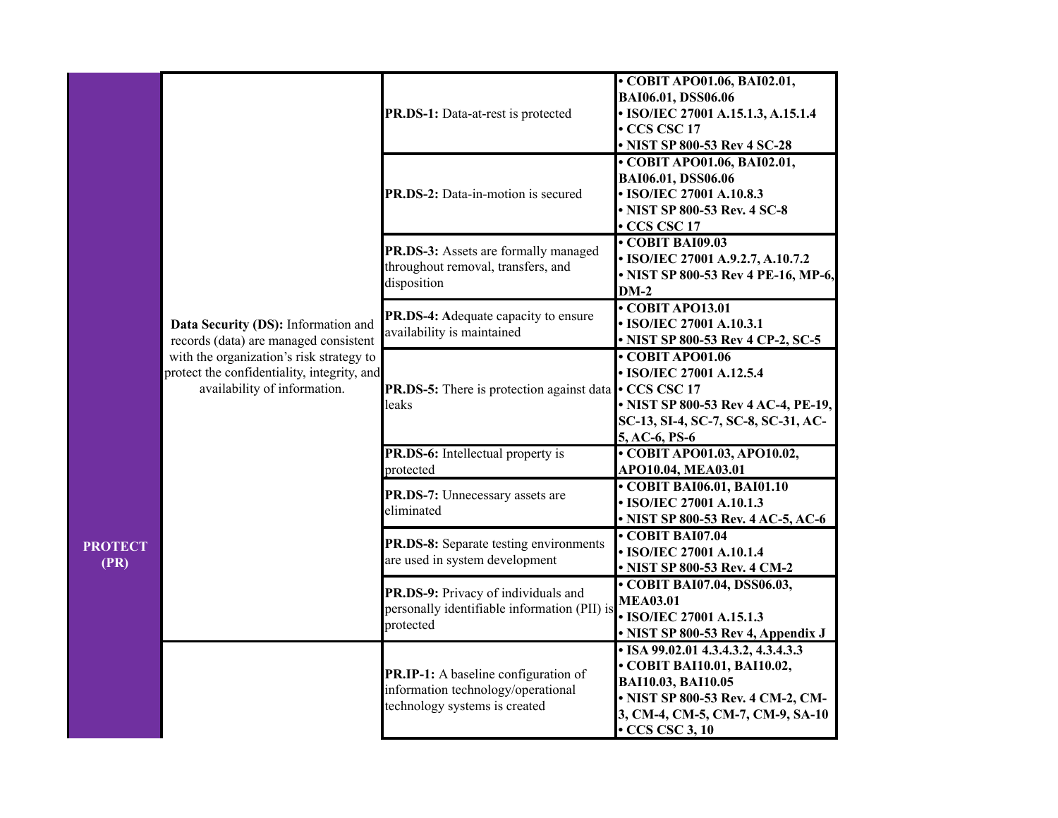|                        |                                                                                                                         | PR.DS-1: Data-at-rest is protected                                                                          | • COBIT APO01.06, BAI02.01,<br>BAI06.01, DSS06.06<br>• ISO/IEC 27001 A.15.1.3, A.15.1.4<br>CCS CSC 17<br>• NIST SP 800-53 Rev 4 SC-28                                                      |
|------------------------|-------------------------------------------------------------------------------------------------------------------------|-------------------------------------------------------------------------------------------------------------|--------------------------------------------------------------------------------------------------------------------------------------------------------------------------------------------|
|                        |                                                                                                                         | PR.DS-2: Data-in-motion is secured                                                                          | • COBIT APO01.06, BAI02.01,<br>BAI06.01, DSS06.06<br>• ISO/IEC 27001 A.10.8.3<br>• NIST SP 800-53 Rev. 4 SC-8<br>CCS CSC 17                                                                |
|                        |                                                                                                                         | PR.DS-3: Assets are formally managed<br>throughout removal, transfers, and<br>disposition                   | $\cdot$ COBIT BAI09.03<br>• ISO/IEC 27001 A.9.2.7, A.10.7.2<br>• NIST SP 800-53 Rev 4 PE-16, MP-6,<br>$DM-2$                                                                               |
|                        | Data Security (DS): Information and<br>records (data) are managed consistent                                            | PR.DS-4: Adequate capacity to ensure<br>availability is maintained                                          | COBIT APO13.01<br>• ISO/IEC 27001 A.10.3.1<br>• NIST SP 800-53 Rev 4 CP-2, SC-5                                                                                                            |
|                        | with the organization's risk strategy to<br>protect the confidentiality, integrity, and<br>availability of information. | <b>PR.DS-5:</b> There is protection against data • CCS CSC 17<br>leaks                                      | COBIT APO01.06<br>• ISO/IEC 27001 A.12.5.4<br>• NIST SP 800-53 Rev 4 AC-4, PE-19,<br>SC-13, SI-4, SC-7, SC-8, SC-31, AC-<br>5, AC-6, PS-6                                                  |
|                        |                                                                                                                         | <b>PR.DS-6:</b> Intellectual property is<br>protected                                                       | $\cdot$ COBIT APO01.03, APO10.02,<br>APO10.04, MEA03.01                                                                                                                                    |
|                        |                                                                                                                         | PR.DS-7: Unnecessary assets are<br>eliminated                                                               | • COBIT BAI06.01, BAI01.10<br>• ISO/IEC 27001 A.10.1.3<br>• NIST SP 800-53 Rev. 4 AC-5, AC-6                                                                                               |
| <b>PROTECT</b><br>(PR) |                                                                                                                         | PR.DS-8: Separate testing environments<br>are used in system development                                    | $\cdot$ COBIT BAI07.04<br>• ISO/IEC 27001 A.10.1.4<br>• NIST SP 800-53 Rev. 4 CM-2                                                                                                         |
|                        |                                                                                                                         | PR.DS-9: Privacy of individuals and<br>personally identifiable information (PII) is<br>protected            | • COBIT BAI07.04, DSS06.03,<br><b>MEA03.01</b><br>• ISO/IEC 27001 A.15.1.3<br>• NIST SP 800-53 Rev 4, Appendix J                                                                           |
|                        |                                                                                                                         | PR.IP-1: A baseline configuration of<br>information technology/operational<br>technology systems is created | • ISA 99.02.01 4.3.4.3.2, 4.3.4.3.3<br>• COBIT BAI10.01, BAI10.02,<br>BAI10.03, BAI10.05<br>• NIST SP 800-53 Rev. 4 CM-2, CM-<br>3, CM-4, CM-5, CM-7, CM-9, SA-10<br>$\cdot$ CCS CSC 3, 10 |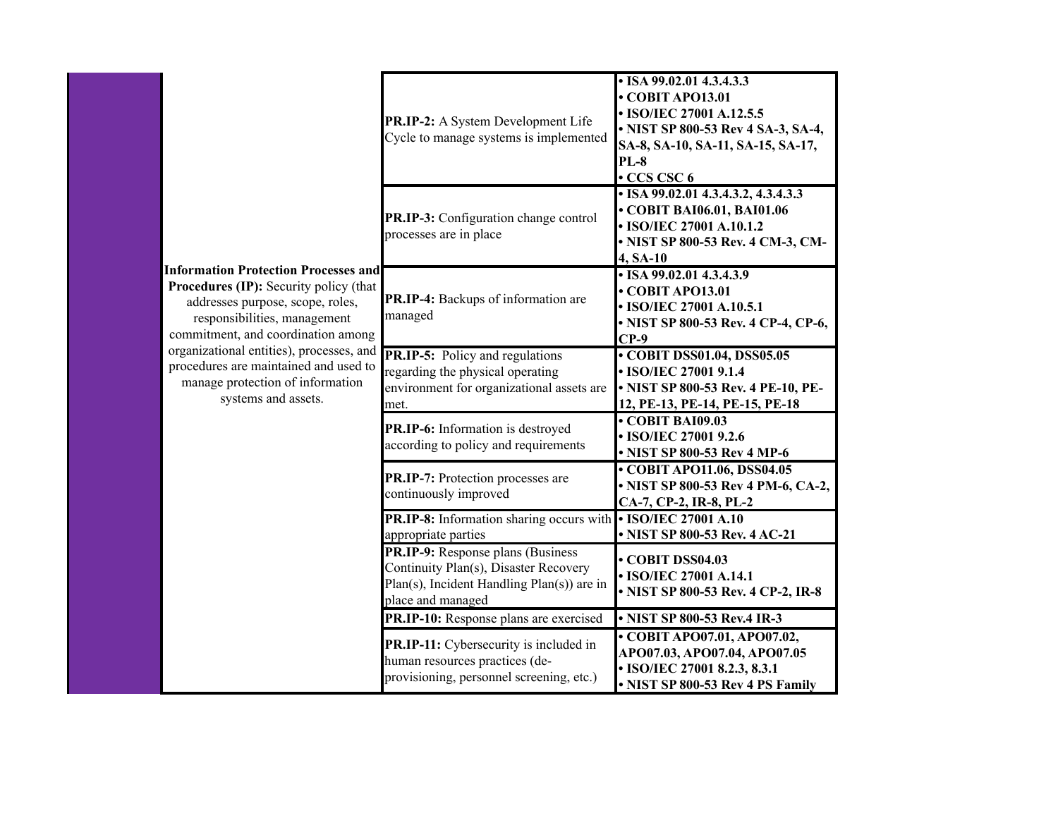|  | <b>Information Protection Processes and</b><br>Procedures (IP): Security policy (that<br>addresses purpose, scope, roles,<br>responsibilities, management<br>commitment, and coordination among | PR.IP-2: A System Development Life<br>Cycle to manage systems is implemented                                                                          | • ISA 99.02.01 4.3.4.3.3<br>$\cdot$ COBIT APO13.01<br>• ISO/IEC 27001 A.12.5.5<br>• NIST SP 800-53 Rev 4 SA-3, SA-4,<br>SA-8, SA-10, SA-11, SA-15, SA-17,<br><b>PL-8</b><br>• CCS CSC 6 |
|--|-------------------------------------------------------------------------------------------------------------------------------------------------------------------------------------------------|-------------------------------------------------------------------------------------------------------------------------------------------------------|-----------------------------------------------------------------------------------------------------------------------------------------------------------------------------------------|
|  |                                                                                                                                                                                                 | PR.IP-3: Configuration change control<br>processes are in place                                                                                       | $\cdot$ ISA 99.02.01 4.3.4.3.2, 4.3.4.3.3<br>• COBIT BAI06.01, BAI01.06<br>• ISO/IEC 27001 A.10.1.2<br>• NIST SP 800-53 Rev. 4 CM-3, CM-<br>4, SA-10                                    |
|  |                                                                                                                                                                                                 | PR.IP-4: Backups of information are<br>managed                                                                                                        | $\cdot$ ISA 99.02.01 4.3.4.3.9<br>• COBIT APO13.01<br>• ISO/IEC 27001 A.10.5.1<br>• NIST SP 800-53 Rev. 4 CP-4, CP-6,<br>$CP-9$                                                         |
|  | organizational entities), processes, and<br>procedures are maintained and used to<br>manage protection of information<br>systems and assets.                                                    | <b>PR.IP-5:</b> Policy and regulations<br>regarding the physical operating<br>environment for organizational assets are<br>met.                       | • COBIT DSS01.04, DSS05.05<br>• ISO/IEC 27001 9.1.4<br>• NIST SP 800-53 Rev. 4 PE-10, PE-<br>12, PE-13, PE-14, PE-15, PE-18                                                             |
|  |                                                                                                                                                                                                 | PR.IP-6: Information is destroyed<br>according to policy and requirements                                                                             | $\cdot$ COBIT BAI09.03<br>• ISO/IEC 27001 9.2.6<br>• NIST SP 800-53 Rev 4 MP-6                                                                                                          |
|  |                                                                                                                                                                                                 | <b>PR.IP-7:</b> Protection processes are<br>continuously improved                                                                                     | • COBIT APO11.06, DSS04.05<br>• NIST SP 800-53 Rev 4 PM-6, CA-2,<br>CA-7, CP-2, IR-8, PL-2                                                                                              |
|  |                                                                                                                                                                                                 | PR.IP-8: Information sharing occurs with • ISO/IEC 27001 A.10<br>appropriate parties                                                                  | • NIST SP 800-53 Rev. 4 AC-21                                                                                                                                                           |
|  |                                                                                                                                                                                                 | <b>PR.IP-9:</b> Response plans (Business)<br>Continuity Plan(s), Disaster Recovery<br>Plan(s), Incident Handling Plan(s)) are in<br>place and managed | • COBIT DSS04.03<br>• ISO/IEC 27001 A.14.1<br>• NIST SP 800-53 Rev. 4 CP-2, IR-8                                                                                                        |
|  |                                                                                                                                                                                                 | PR.IP-10: Response plans are exercised                                                                                                                | • NIST SP 800-53 Rev.4 IR-3                                                                                                                                                             |
|  |                                                                                                                                                                                                 | PR.IP-11: Cybersecurity is included in<br>human resources practices (de-<br>provisioning, personnel screening, etc.)                                  | • COBIT APO07.01, APO07.02,<br>APO07.03, APO07.04, APO07.05<br>• ISO/IEC 27001 8.2.3, 8.3.1<br>• NIST SP 800-53 Rev 4 PS Family                                                         |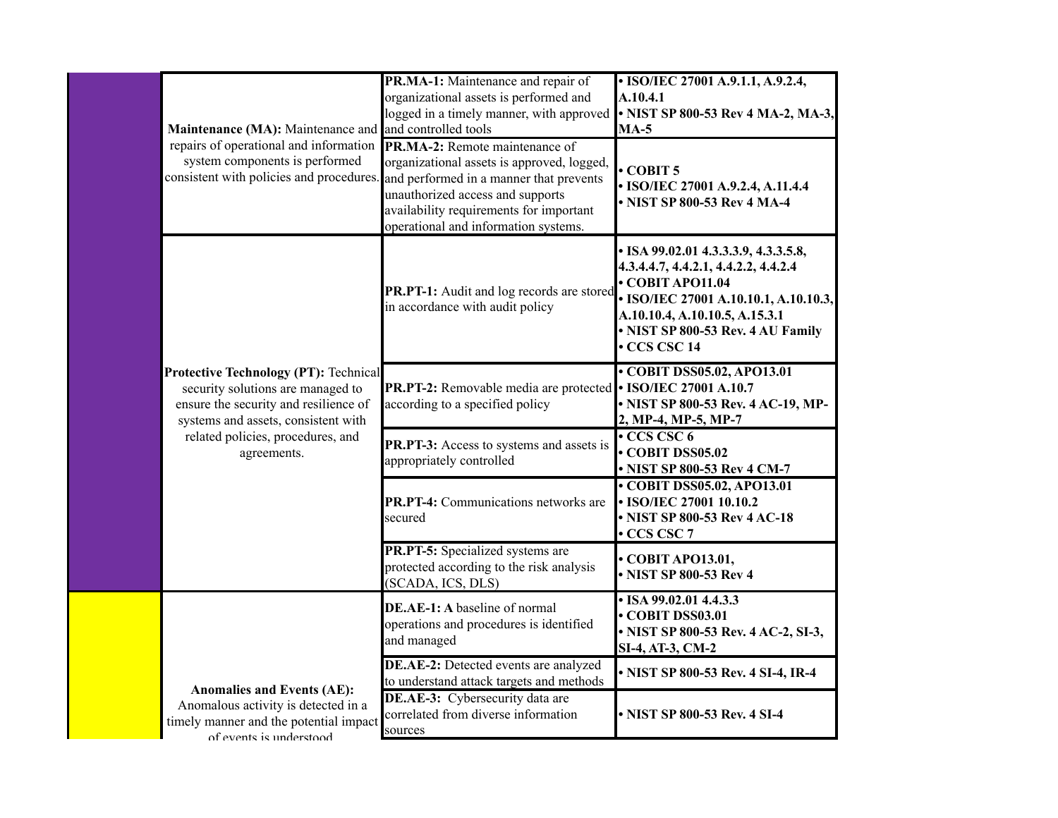|  | Maintenance (MA): Maintenance and and controlled tools                                                                                                            | PR.MA-1: Maintenance and repair of<br>organizational assets is performed and<br>logged in a timely manner, with approved                                                                                                                                                                       | • ISO/IEC 27001 A.9.1.1, A.9.2.4,<br>A.10.4.1<br>• NIST SP 800-53 Rev 4 MA-2, MA-3,<br>$MA-5$                                                                                                                                        |
|--|-------------------------------------------------------------------------------------------------------------------------------------------------------------------|------------------------------------------------------------------------------------------------------------------------------------------------------------------------------------------------------------------------------------------------------------------------------------------------|--------------------------------------------------------------------------------------------------------------------------------------------------------------------------------------------------------------------------------------|
|  | repairs of operational and information<br>system components is performed                                                                                          | <b>PR.MA-2:</b> Remote maintenance of<br>organizational assets is approved, logged,<br>consistent with policies and procedures. and performed in a manner that prevents<br>unauthorized access and supports<br>availability requirements for important<br>operational and information systems. | $\cdot$ COBIT 5<br>• ISO/IEC 27001 A.9.2.4, A.11.4.4<br>• NIST SP 800-53 Rev 4 MA-4                                                                                                                                                  |
|  | <b>Protective Technology (PT): Technical</b><br>security solutions are managed to<br>ensure the security and resilience of<br>systems and assets, consistent with | PR.PT-1: Audit and log records are stored<br>in accordance with audit policy                                                                                                                                                                                                                   | • ISA 99.02.01 4.3.3.3.9, 4.3.3.5.8,<br>4.3.4.4.7, 4.4.2.1, 4.4.2.2, 4.4.2.4<br>$\cdot$ COBIT APO11.04<br>• ISO/IEC 27001 A.10.10.1, A.10.10.3,<br>A.10.10.4, A.10.10.5, A.15.3.1<br>• NIST SP 800-53 Rev. 4 AU Family<br>CCS CSC 14 |
|  |                                                                                                                                                                   | <b>PR.PT-2:</b> Removable media are protected • ISO/IEC 27001 A.10.7<br>according to a specified policy                                                                                                                                                                                        | • COBIT DSS05.02, APO13.01<br>• NIST SP 800-53 Rev. 4 AC-19, MP-<br>2, MP-4, MP-5, MP-7                                                                                                                                              |
|  | related policies, procedures, and<br>agreements.                                                                                                                  | PR.PT-3: Access to systems and assets is<br>appropriately controlled                                                                                                                                                                                                                           | $\cdot$ CCS CSC 6<br>COBIT DSS05.02<br>• NIST SP 800-53 Rev 4 CM-7                                                                                                                                                                   |
|  |                                                                                                                                                                   | <b>PR.PT-4:</b> Communications networks are<br>secured                                                                                                                                                                                                                                         | • COBIT DSS05.02, APO13.01<br>• ISO/IEC 27001 10.10.2<br>• NIST SP 800-53 Rev 4 AC-18<br>• CCS CSC 7                                                                                                                                 |
|  |                                                                                                                                                                   | PR.PT-5: Specialized systems are<br>protected according to the risk analysis<br>(SCADA, ICS, DLS)                                                                                                                                                                                              | $\cdot$ COBIT APO13.01,<br>• NIST SP 800-53 Rev 4                                                                                                                                                                                    |
|  |                                                                                                                                                                   | DE.AE-1: A baseline of normal<br>operations and procedures is identified<br>and managed                                                                                                                                                                                                        | • ISA 99.02.01 4.4.3.3<br>COBIT DSS03.01<br>• NIST SP 800-53 Rev. 4 AC-2, SI-3,<br>SI-4, AT-3, CM-2                                                                                                                                  |
|  |                                                                                                                                                                   | DE.AE-2: Detected events are analyzed<br>to understand attack targets and methods                                                                                                                                                                                                              | • NIST SP 800-53 Rev. 4 SI-4, IR-4                                                                                                                                                                                                   |
|  | <b>Anomalies and Events (AE):</b><br>Anomalous activity is detected in a<br>timely manner and the potential impact<br>of events is understood                     | <b>DE.AE-3:</b> Cybersecurity data are<br>correlated from diverse information<br>sources                                                                                                                                                                                                       | • NIST SP 800-53 Rev. 4 SI-4                                                                                                                                                                                                         |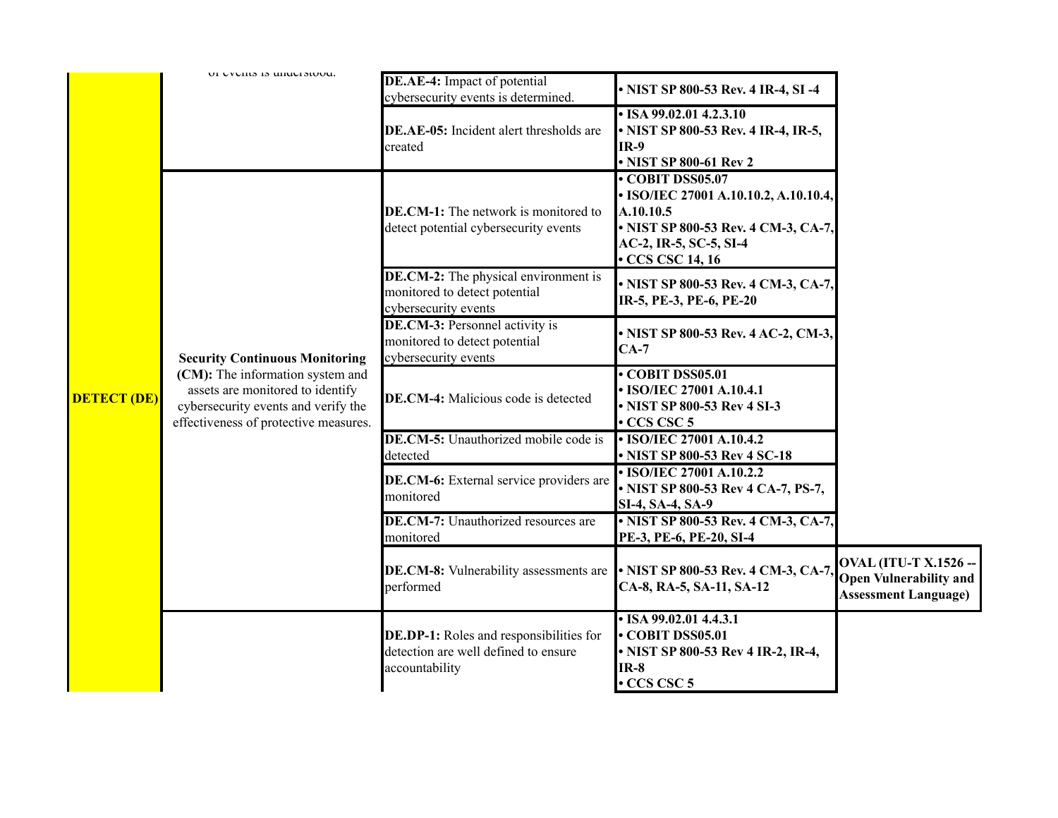|                                                                                                                       | UI UVUIIIS IS UHUUISIUUU.                                                                                                                                                                     | DE.AE-4: Impact of potential                                                                             | • NIST SP 800-53 Rev. 4 IR-4, SI -4                                                                             |                                                                                              |
|-----------------------------------------------------------------------------------------------------------------------|-----------------------------------------------------------------------------------------------------------------------------------------------------------------------------------------------|----------------------------------------------------------------------------------------------------------|-----------------------------------------------------------------------------------------------------------------|----------------------------------------------------------------------------------------------|
|                                                                                                                       |                                                                                                                                                                                               | cybersecurity events is determined.<br>DE.AE-05: Incident alert thresholds are<br>created                | $\cdot$ ISA 99.02.01 4.2.3.10<br>• NIST SP 800-53 Rev. 4 IR-4, IR-5,<br><b>IR-9</b><br>• NIST SP 800-61 Rev 2   |                                                                                              |
| <b>DE.CM-1:</b> The network is monitored to<br>A.10.10.5<br>detect potential cybersecurity events<br>• CCS CSC 14, 16 | COBIT DSS05.07<br>• ISO/IEC 27001 A.10.10.2, A.10.10.4,<br>• NIST SP 800-53 Rev. 4 CM-3, CA-7,<br>AC-2, IR-5, SC-5, SI-4                                                                      |                                                                                                          |                                                                                                                 |                                                                                              |
|                                                                                                                       |                                                                                                                                                                                               | <b>DE.CM-2:</b> The physical environment is<br>monitored to detect potential<br>cybersecurity events     | • NIST SP 800-53 Rev. 4 CM-3, CA-7,<br>IR-5, PE-3, PE-6, PE-20                                                  |                                                                                              |
|                                                                                                                       | <b>Security Continuous Monitoring</b><br>(CM): The information system and<br>assets are monitored to identify<br>cybersecurity events and verify the<br>effectiveness of protective measures. | <b>DE.CM-3:</b> Personnel activity is<br>monitored to detect potential<br>cybersecurity events           | • NIST SP 800-53 Rev. 4 AC-2, CM-3,<br>$CA-7$                                                                   |                                                                                              |
| <b>DETECT (DE)</b>                                                                                                    |                                                                                                                                                                                               | <b>DE.CM-4:</b> Malicious code is detected                                                               | COBIT DSS05.01<br>• ISO/IEC 27001 A.10.4.1<br>• NIST SP 800-53 Rev 4 SI-3<br>$\cdot$ CCS CSC 5                  |                                                                                              |
|                                                                                                                       |                                                                                                                                                                                               | DE.CM-5: Unauthorized mobile code is<br>detected                                                         | • ISO/IEC 27001 A.10.4.2<br>• NIST SP 800-53 Rev 4 SC-18                                                        |                                                                                              |
|                                                                                                                       |                                                                                                                                                                                               | DE.CM-6: External service providers are<br>monitored                                                     | • ISO/IEC 27001 A.10.2.2<br>• NIST SP 800-53 Rev 4 CA-7, PS-7,<br>SI-4, SA-4, SA-9                              |                                                                                              |
|                                                                                                                       |                                                                                                                                                                                               | DE.CM-7: Unauthorized resources are<br>monitored                                                         | • NIST SP 800-53 Rev. 4 CM-3, CA-7,<br>PE-3, PE-6, PE-20, SI-4                                                  |                                                                                              |
|                                                                                                                       |                                                                                                                                                                                               | DE.CM-8: Vulnerability assessments are<br>performed                                                      | • NIST SP 800-53 Rev. 4 CM-3, CA-7,<br>CA-8, RA-5, SA-11, SA-12                                                 | <b>OVAL (ITU-T X.1526 --</b><br><b>Open Vulnerability and</b><br><b>Assessment Language)</b> |
|                                                                                                                       |                                                                                                                                                                                               | <b>DE.DP-1:</b> Roles and responsibilities for<br>detection are well defined to ensure<br>accountability | • ISA 99.02.01 4.4.3.1<br>• COBIT DSS05.01<br>• NIST SP 800-53 Rev 4 IR-2, IR-4,<br>$IR-8$<br>$\cdot$ CCS CSC 5 |                                                                                              |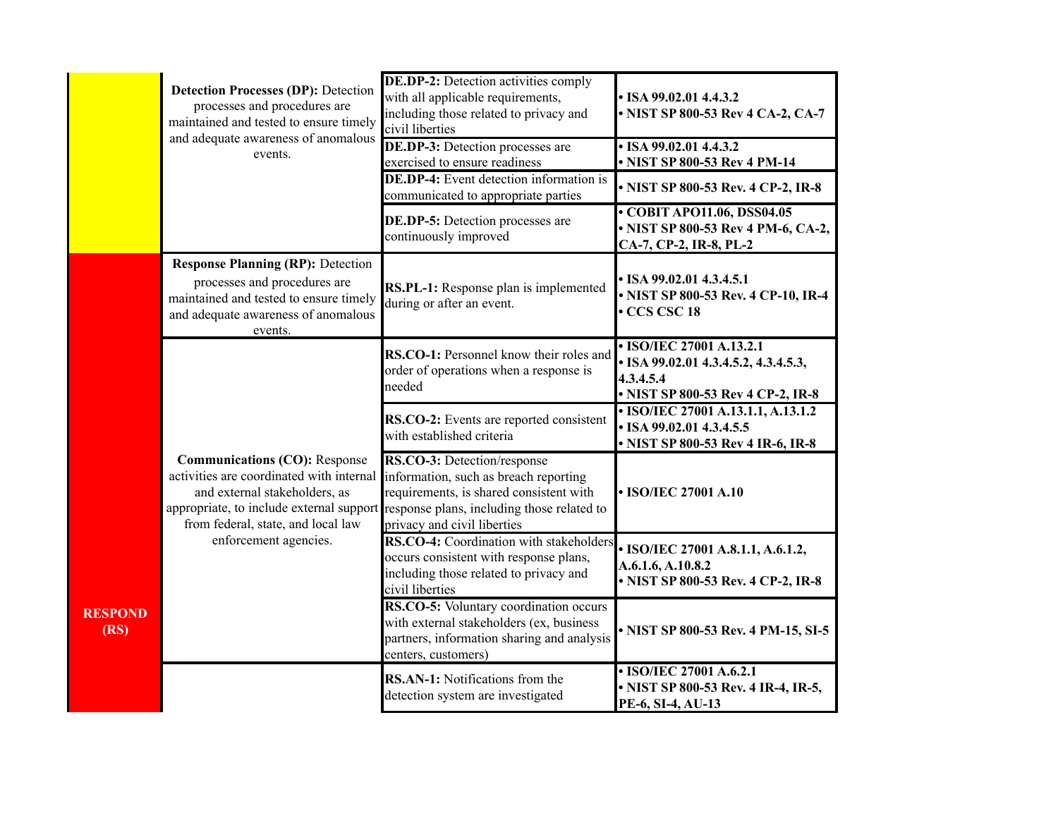|                        | <b>Detection Processes (DP): Detection</b><br>processes and procedures are<br>maintained and tested to ensure timely                                                                                | <b>DE.DP-2:</b> Detection activities comply<br>with all applicable requirements,<br>including those related to privacy and<br>civil liberties                                                | $\cdot$ ISA 99.02.01 4.4.3.2<br>• NIST SP 800-53 Rev 4 CA-2, CA-7                                                  |
|------------------------|-----------------------------------------------------------------------------------------------------------------------------------------------------------------------------------------------------|----------------------------------------------------------------------------------------------------------------------------------------------------------------------------------------------|--------------------------------------------------------------------------------------------------------------------|
|                        | and adequate awareness of anomalous<br>events.                                                                                                                                                      | <b>DE.DP-3:</b> Detection processes are<br>exercised to ensure readiness                                                                                                                     | $\cdot$ ISA 99.02.01 4.4.3.2<br>• NIST SP 800-53 Rev 4 PM-14                                                       |
|                        |                                                                                                                                                                                                     | <b>DE.DP-4:</b> Event detection information is<br>communicated to appropriate parties                                                                                                        | • NIST SP 800-53 Rev. 4 CP-2, IR-8                                                                                 |
|                        |                                                                                                                                                                                                     | <b>DE.DP-5:</b> Detection processes are<br>continuously improved                                                                                                                             | • COBIT APO11.06, DSS04.05<br>• NIST SP 800-53 Rev 4 PM-6, CA-2,<br>CA-7, CP-2, IR-8, PL-2                         |
|                        | <b>Response Planning (RP): Detection</b><br>processes and procedures are<br>maintained and tested to ensure timely<br>and adequate awareness of anomalous<br>events.                                | RS.PL-1: Response plan is implemented<br>during or after an event.                                                                                                                           | • ISA 99.02.01 4.3.4.5.1<br>• NIST SP 800-53 Rev. 4 CP-10, IR-4<br>CCS CSC 18                                      |
|                        |                                                                                                                                                                                                     | RS.CO-1: Personnel know their roles and<br>order of operations when a response is<br>needed                                                                                                  | • ISO/IEC 27001 A.13.2.1<br>• ISA 99.02.01 4.3.4.5.2, 4.3.4.5.3,<br>4.3.4.5.4<br>• NIST SP 800-53 Rev 4 CP-2, IR-8 |
|                        |                                                                                                                                                                                                     | RS.CO-2: Events are reported consistent<br>with established criteria                                                                                                                         | • ISO/IEC 27001 A.13.1.1, A.13.1.2<br>• ISA 99.02.01 4.3.4.5.5<br>• NIST SP 800-53 Rev 4 IR-6, IR-8                |
|                        | <b>Communications (CO): Response</b><br>activities are coordinated with internal<br>and external stakeholders, as<br>appropriate, to include external support<br>from federal, state, and local law | RS.CO-3: Detection/response<br>information, such as breach reporting<br>requirements, is shared consistent with<br>response plans, including those related to<br>privacy and civil liberties | • ISO/IEC 27001 A.10                                                                                               |
|                        | enforcement agencies.                                                                                                                                                                               | RS.CO-4: Coordination with stakeholders<br>occurs consistent with response plans,<br>including those related to privacy and<br>civil liberties                                               | • ISO/IEC 27001 A.8.1.1, A.6.1.2,<br>A.6.1.6, A.10.8.2<br>• NIST SP 800-53 Rev. 4 CP-2, IR-8                       |
| <b>RESPOND</b><br>(RS) |                                                                                                                                                                                                     | RS.CO-5: Voluntary coordination occurs<br>with external stakeholders (ex, business<br>partners, information sharing and analysis<br>centers, customers)                                      | • NIST SP 800-53 Rev. 4 PM-15, SI-5                                                                                |
|                        |                                                                                                                                                                                                     | RS.AN-1: Notifications from the<br>detection system are investigated                                                                                                                         | • ISO/IEC 27001 A.6.2.1<br>• NIST SP 800-53 Rev. 4 IR-4, IR-5,<br>PE-6, SI-4, AU-13                                |